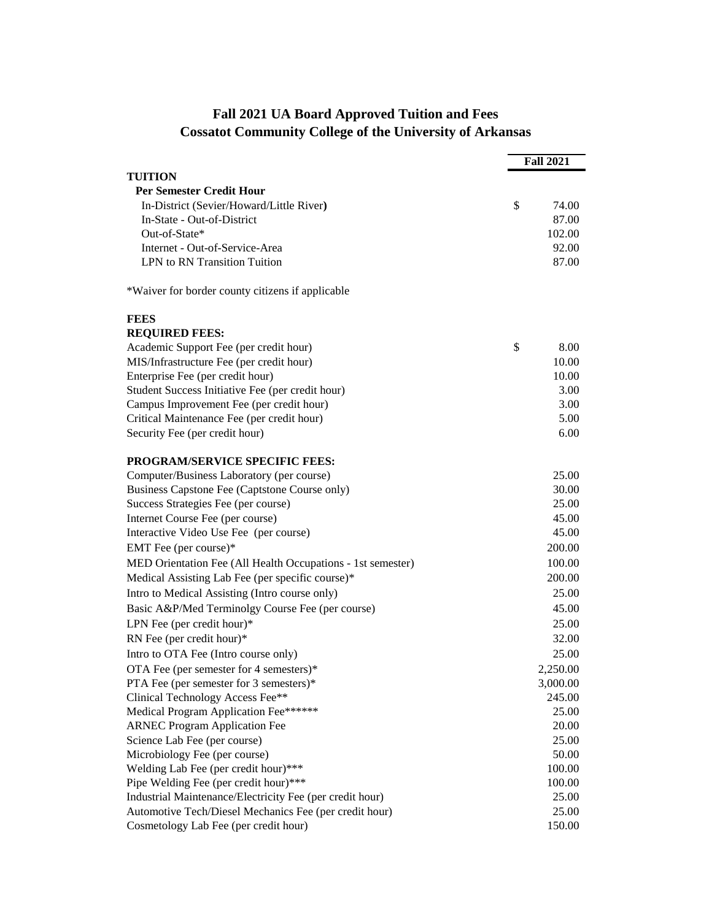## **Fall 2021 UA Board Approved Tuition and Fees Cossatot Community College of the University of Arkansas**

|                                                                               | <b>Fall 2021</b> |                    |
|-------------------------------------------------------------------------------|------------------|--------------------|
| TUITION                                                                       |                  |                    |
| <b>Per Semester Credit Hour</b>                                               |                  |                    |
| In-District (Sevier/Howard/Little River)                                      | \$               | 74.00              |
| In-State - Out-of-District                                                    |                  | 87.00              |
| Out-of-State*                                                                 |                  | 102.00             |
| Internet - Out-of-Service-Area                                                |                  | 92.00              |
| LPN to RN Transition Tuition                                                  |                  | 87.00              |
| *Waiver for border county citizens if applicable                              |                  |                    |
| <b>FEES</b>                                                                   |                  |                    |
| <b>REQUIRED FEES:</b>                                                         |                  |                    |
| Academic Support Fee (per credit hour)                                        | \$               | 8.00               |
| MIS/Infrastructure Fee (per credit hour)                                      |                  | 10.00              |
| Enterprise Fee (per credit hour)                                              |                  | 10.00              |
| Student Success Initiative Fee (per credit hour)                              |                  | 3.00               |
| Campus Improvement Fee (per credit hour)                                      |                  | 3.00               |
| Critical Maintenance Fee (per credit hour)                                    |                  | 5.00               |
| Security Fee (per credit hour)                                                |                  | 6.00               |
| <b>PROGRAM/SERVICE SPECIFIC FEES:</b>                                         |                  |                    |
| Computer/Business Laboratory (per course)                                     |                  | 25.00              |
| Business Capstone Fee (Captstone Course only)                                 |                  | 30.00              |
| Success Strategies Fee (per course)                                           |                  | 25.00              |
| Internet Course Fee (per course)                                              |                  | 45.00              |
| Interactive Video Use Fee (per course)                                        |                  | 45.00              |
| EMT Fee (per course)*                                                         |                  | 200.00             |
| MED Orientation Fee (All Health Occupations - 1st semester)                   |                  | 100.00             |
| Medical Assisting Lab Fee (per specific course)*                              |                  | 200.00             |
| Intro to Medical Assisting (Intro course only)                                |                  | 25.00              |
| Basic A&P/Med Terminolgy Course Fee (per course)                              |                  | 45.00              |
| LPN Fee (per credit hour) $*$                                                 |                  | 25.00              |
| RN Fee (per credit hour)*                                                     |                  | 32.00              |
|                                                                               |                  | 25.00              |
| Intro to OTA Fee (Intro course only)                                          |                  |                    |
| OTA Fee (per semester for 4 semesters) $*$                                    |                  | 2,250.00           |
| PTA Fee (per semester for 3 semesters)*                                       |                  | 3,000.00<br>245.00 |
| Clinical Technology Access Fee**                                              |                  |                    |
| Medical Program Application Fee******                                         |                  | 25.00              |
| <b>ARNEC Program Application Fee</b>                                          |                  | 20.00<br>25.00     |
| Science Lab Fee (per course)                                                  |                  |                    |
| Microbiology Fee (per course)                                                 |                  | 50.00<br>100.00    |
| Welding Lab Fee (per credit hour)***<br>Pipe Welding Fee (per credit hour)*** |                  | 100.00             |
| Industrial Maintenance/Electricity Fee (per credit hour)                      |                  | 25.00              |
| Automotive Tech/Diesel Mechanics Fee (per credit hour)                        |                  | 25.00              |
| Cosmetology Lab Fee (per credit hour)                                         |                  | 150.00             |
|                                                                               |                  |                    |